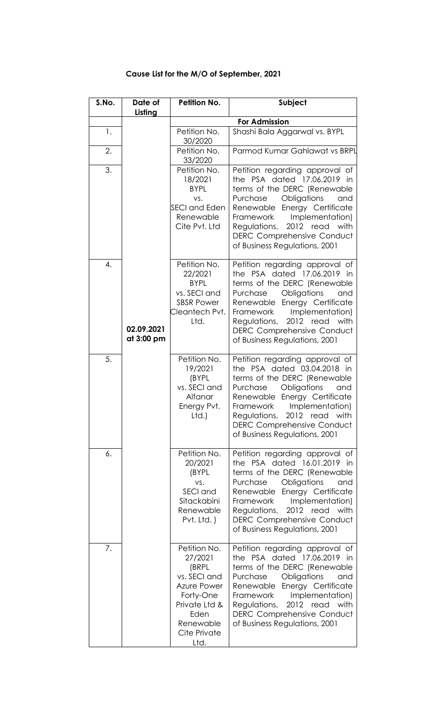| S.No. | Date of                  | <b>Petition No.</b>                                                                                                                        | Subject                                                                                                                                                                                                                                                                                                 |
|-------|--------------------------|--------------------------------------------------------------------------------------------------------------------------------------------|---------------------------------------------------------------------------------------------------------------------------------------------------------------------------------------------------------------------------------------------------------------------------------------------------------|
|       | Listing                  |                                                                                                                                            | <b>For Admission</b>                                                                                                                                                                                                                                                                                    |
| 1.    |                          | Petition No.<br>30/2020                                                                                                                    | Shashi Bala Aggarwal vs. BYPL                                                                                                                                                                                                                                                                           |
| 2.    |                          | Petition No.<br>33/2020                                                                                                                    | Parmod Kumar Gahlawat vs BRPL                                                                                                                                                                                                                                                                           |
| 3.    |                          | Petition No.<br>18/2021<br><b>BYPL</b><br>VS.<br><b>SECI and Eden</b><br>Renewable<br>Cite Pvt. Ltd                                        | Petition regarding approval of<br>the PSA dated 17.06.2019 in<br>terms of the DERC (Renewable<br>Purchase<br>Obligations<br>and<br>Renewable Energy Certificate<br>Implementation)<br>Framework<br>Regulations, 2012 read with<br><b>DERC Comprehensive Conduct</b><br>of Business Regulations, 2001    |
| 4.    | 02.09.2021<br>at 3:00 pm | Petition No.<br>22/2021<br><b>BYPL</b><br>vs. SECI and<br><b>SBSR Power</b><br>Cleantech Pvt.<br>Ltd.                                      | Petition regarding approval of<br>the PSA dated 17.06.2019 in<br>terms of the DERC (Renewable<br>Obligations<br>Purchase<br>and<br>Renewable Energy Certificate<br>Implementation)<br>Framework<br>Regulations, 2012 read with<br><b>DERC Comprehensive Conduct</b><br>of Business Regulations, 2001    |
| 5.    |                          | Petition No.<br>19/2021<br>(BYPL<br>vs. SECI and<br>Alfanar<br>Energy Pvt.<br>Ltd.)                                                        | Petition regarding approval of<br>the PSA dated 03.04.2018 in<br>terms of the DERC (Renewable<br>Obligations<br>Purchase<br>and<br>Renewable Energy Certificate<br>Framework<br>Implementation)<br>Regulations, 2012 read with<br><b>DERC Comprehensive Conduct</b><br>of Business Regulations, 2001    |
| 6.    |                          | Petition No.<br>20/2021<br>(BYPL<br>VS.<br>SECI and<br>Sitackabini<br>Renewable<br>Pvt. Ltd.)                                              | Petition regarding approval of<br>the PSA dated 16.01.2019 in<br>terms of the DERC (Renewable<br>Purchase<br>Obligations<br>and<br>Renewable Energy Certificate<br>Implementation)<br>Framework<br>2012 read with<br>Regulations,<br><b>DERC Comprehensive Conduct</b><br>of Business Regulations, 2001 |
| 7.    |                          | Petition No.<br>27/2021<br>(BRPL<br>vs. SECI and<br>Azure Power<br>Forty-One<br>Private Ltd &<br>Eden<br>Renewable<br>Cite Private<br>Ltd. | Petition regarding approval of<br>the PSA dated 17.06.2019 in<br>terms of the DERC (Renewable<br>Purchase<br>Obligations<br>and<br>Renewable Energy Certificate<br>Framework<br>Implementation)<br>2012 read with<br>Regulations,<br><b>DERC Comprehensive Conduct</b><br>of Business Regulations, 2001 |

## **Cause List for the M/O of September, 2021**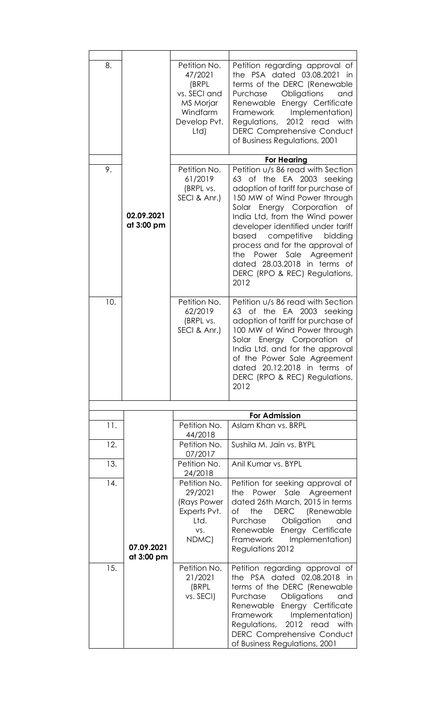| 8.  |                          | Petition No.<br>47/2021<br>(BRPL<br>vs. SECI and<br>MS Morjar<br>Windfarm<br>Develop Pvt.<br>Ltd) | Petition regarding approval of<br>the PSA dated 03.08.2021<br>-in<br>terms of the DERC (Renewable<br>Purchase<br>Obligations<br>and<br>Renewable<br>Energy Certificate<br>Implementation)<br>Framework<br>2012 read with<br>Regulations,<br><b>DERC Comprehensive Conduct</b><br>of Business Regulations, 2001                                                                                                        |
|-----|--------------------------|---------------------------------------------------------------------------------------------------|-----------------------------------------------------------------------------------------------------------------------------------------------------------------------------------------------------------------------------------------------------------------------------------------------------------------------------------------------------------------------------------------------------------------------|
|     |                          |                                                                                                   | <b>For Hearing</b>                                                                                                                                                                                                                                                                                                                                                                                                    |
| 9.  | 02.09.2021<br>at 3:00 pm | Petition No.<br>61/2019<br>(BRPL vs.<br>SECI & Anr.)                                              | Petition u/s 86 read with Section<br>63 of the EA 2003 seeking<br>adoption of tariff for purchase of<br>150 MW of Wind Power through<br>Solar Energy Corporation of<br>India Ltd, from the Wind power<br>developer identified under tariff<br>based<br>competitive<br>bidding<br>process and for the approval of<br>the Power Sale Agreement<br>dated 28.03.2018 in terms of<br>DERC (RPO & REC) Regulations,<br>2012 |
| 10. |                          | Petition No.<br>62/2019<br>(BRPL vs.<br>SECI & Anr.)                                              | Petition u/s 86 read with Section<br>63 of the EA 2003<br>seeking<br>adoption of tariff for purchase of<br>100 MW of Wind Power through<br>Solar Energy Corporation of<br>India Ltd. and for the approval<br>of the Power Sale Agreement<br>dated 20.12.2018 in terms of<br>DERC (RPO & REC) Regulations,<br>2012                                                                                                     |
|     |                          |                                                                                                   |                                                                                                                                                                                                                                                                                                                                                                                                                       |
|     |                          |                                                                                                   | <b>For Admission</b>                                                                                                                                                                                                                                                                                                                                                                                                  |
| 11. |                          | Petition No.<br>44/2018                                                                           | Aslam Khan vs. BRPL                                                                                                                                                                                                                                                                                                                                                                                                   |
| 12. |                          | Petition No.<br>07/2017                                                                           | Sushila M. Jain vs. BYPL                                                                                                                                                                                                                                                                                                                                                                                              |
| 13. |                          | Petition No.<br>24/2018                                                                           | Anil Kumar vs. BYPL                                                                                                                                                                                                                                                                                                                                                                                                   |
| 14. | 07.09.2021<br>at 3:00 pm | Petition No.<br>29/2021<br>(Rays Power<br>Experts Pvt.<br>Ltd.<br>VS.<br>NDMC)                    | Petition for seeking approval of<br>Power Sale Agreement<br>the<br>dated 26th March, 2015 in terms<br>the<br><b>DERC</b><br>(Renewable<br>оf<br>Purchase<br>Obligation<br>and<br>Renewable Energy Certificate<br>Implementation)<br>Framework<br>Regulations 2012                                                                                                                                                     |
| 15. |                          | Petition No.<br>21/2021<br>(BRPL<br>vs. SECI)                                                     | Petition regarding approval of<br>the PSA dated 02.08.2018 in<br>terms of the DERC (Renewable<br>Obligations<br>Purchase<br>and<br>Renewable Energy Certificate<br>Implementation)<br>Framework<br>with<br>Regulations, 2012 read<br><b>DERC Comprehensive Conduct</b><br>of Business Regulations, 2001                                                                                                               |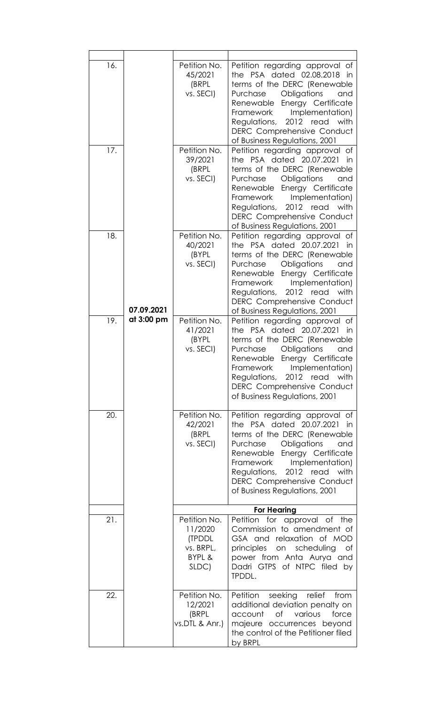| 16.<br>17. | 07.09.2021 | Petition No.<br>45/2021<br>(BRPL<br>vs. SECI)<br>Petition No.     | Petition regarding approval of<br>the PSA dated 02.08.2018<br>in<br>terms of the DERC (Renewable<br>Purchase<br>Obligations<br>and<br>Renewable<br>Energy Certificate<br>Implementation)<br>Framework<br>2012 read<br>Regulations,<br>with<br><b>DERC Comprehensive Conduct</b><br>of Business Regulations, 2001<br>Petition regarding approval of |
|------------|------------|-------------------------------------------------------------------|----------------------------------------------------------------------------------------------------------------------------------------------------------------------------------------------------------------------------------------------------------------------------------------------------------------------------------------------------|
|            |            | 39/2021<br>(BRPL<br>vs. SECI)                                     | the PSA dated 20.07.2021<br>in<br>terms of the DERC (Renewable<br>Purchase<br>Obligations<br>and<br>Renewable<br>Energy Certificate<br>Implementation)<br>Framework<br>2012 read<br>Regulations,<br>with<br><b>DERC Comprehensive Conduct</b><br>of Business Regulations, 2001                                                                     |
| 18.        |            | Petition No.<br>40/2021<br>(BYPL<br>vs. SECI)                     | Petition regarding approval of<br>the PSA dated 20.07.2021<br>in<br>terms of the DERC (Renewable<br>Purchase<br>Obligations<br>and<br>Energy Certificate<br>Renewable<br>Implementation)<br><b>Framework</b><br>2012 read with<br>Regulations,<br><b>DERC Comprehensive Conduct</b><br>of Business Regulations, 2001                               |
| 19.        | at 3:00 pm | Petition No.<br>41/2021<br>(BYPL<br>vs. SECI)                     | Petition regarding approval of<br>the PSA dated 20.07.2021<br>in<br>terms of the DERC (Renewable<br>Purchase<br>Obligations<br>and<br>Energy Certificate<br>Renewable<br>Implementation)<br>Framework<br>Regulations,<br>2012 read<br>with<br><b>DERC Comprehensive Conduct</b><br>of Business Regulations, 2001                                   |
| 20.        |            | Petition No.<br>42/2021<br>(BRPL<br>vs. SECI)                     | Petition regarding approval of<br>the PSA dated 20.07.2021<br>in<br>terms of the DERC (Renewable<br>Purchase<br>Obligations<br>and<br>Renewable<br>Energy Certificate<br>Implementation)<br>Framework<br>2012 read with<br>Regulations,<br><b>DERC Comprehensive Conduct</b><br>of Business Regulations, 2001                                      |
|            |            |                                                                   | <b>For Hearing</b>                                                                                                                                                                                                                                                                                                                                 |
| 21.        |            | Petition No.<br>11/2020<br>(TPDDL<br>vs. BRPL,<br>BYPL &<br>SLDC) | Petition for approval of<br>the<br>Commission to amendment of<br>GSA and relaxation of MOD<br>principles on<br>scheduling<br>of<br>power from Anta Aurya and<br>Dadri GTPS of NTPC filed<br>by<br>TPDDL.                                                                                                                                           |
| 22.        |            | Petition No.<br>12/2021<br>(BRPL<br>vs.DTL & Anr.)                | Petition<br>seeking<br>relief<br>from<br>additional deviation penalty on<br>of<br>various<br>account<br>force<br>majeure occurrences beyond<br>the control of the Petitioner filed<br>by BRPL                                                                                                                                                      |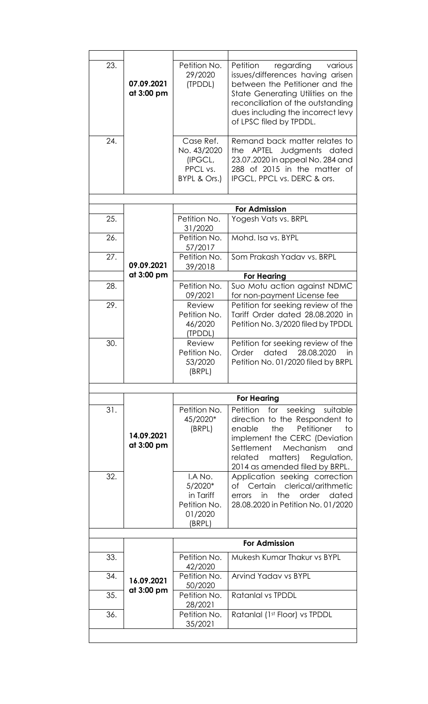| 23. | 07.09.2021<br>at 3:00 pm | Petition No.<br>29/2020<br>(TPDDL)                                   | regarding<br>Petition<br>various<br>issues/differences having arisen<br>between the Petitioner and the<br>State Generating Utilities on the<br>reconciliation of the outstanding<br>dues including the incorrect levy<br>of LPSC filed by TPDDL.      |
|-----|--------------------------|----------------------------------------------------------------------|-------------------------------------------------------------------------------------------------------------------------------------------------------------------------------------------------------------------------------------------------------|
| 24. |                          | Case Ref.<br>No. 43/2020<br>(IPGCL,<br>PPCL vs.<br>BYPL & Ors.)      | Remand back matter relates to<br>APTEL<br>Judgments dated<br>the<br>23.07.2020 in appeal No. 284 and<br>288 of 2015 in the matter of<br>IPGCL, PPCL vs. DERC & ors.                                                                                   |
|     |                          |                                                                      |                                                                                                                                                                                                                                                       |
|     |                          |                                                                      | <b>For Admission</b>                                                                                                                                                                                                                                  |
| 25. |                          | Petition No.<br>31/2020                                              | Yogesh Vats vs. BRPL                                                                                                                                                                                                                                  |
| 26. |                          | Petition No.<br>57/2017                                              | Mohd. Isa vs. BYPL                                                                                                                                                                                                                                    |
| 27. | 09.09.2021               | Petition No.<br>39/2018                                              | Som Prakash Yadav vs. BRPL                                                                                                                                                                                                                            |
|     | at 3:00 pm               |                                                                      | <b>For Hearing</b>                                                                                                                                                                                                                                    |
| 28. |                          | Petition No.<br>09/2021                                              | Suo Motu action against NDMC<br>for non-payment License fee                                                                                                                                                                                           |
| 29. |                          | Review<br>Petition No.<br>46/2020<br>(TPDDL)                         | Petition for seeking review of the<br>Tariff Order dated 28.08.2020 in<br>Petition No. 3/2020 filed by TPDDL                                                                                                                                          |
| 30. |                          | Review<br>Petition No.<br>53/2020<br>(BRPL)                          | Petition for seeking review of the<br>Order<br>dated<br>28.08.2020<br>in<br>Petition No. 01/2020 filed by BRPL                                                                                                                                        |
|     |                          |                                                                      |                                                                                                                                                                                                                                                       |
|     |                          |                                                                      | <b>For Hearing</b>                                                                                                                                                                                                                                    |
| 31. | 14.09.2021<br>at 3:00 pm | Petition No.<br>45/2020*<br>(BRPL)                                   | Petition<br>for seeking<br>suitable<br>direction to the Respondent to<br>the<br>Petitioner<br>enable<br>to<br>implement the CERC (Deviation<br>Settlement<br>Mechanism<br>and<br>related<br>matters)<br>Regulation,<br>2014 as amended filed by BRPL. |
| 32. |                          | I.A No.<br>5/2020*<br>in Tariff<br>Petition No.<br>01/2020<br>(BRPL) | Application seeking correction<br>of Certain clerical/arithmetic<br>the<br>order<br>in<br>dated<br>errors<br>28.08.2020 in Petition No. 01/2020                                                                                                       |
|     |                          |                                                                      | <b>For Admission</b>                                                                                                                                                                                                                                  |
|     |                          |                                                                      |                                                                                                                                                                                                                                                       |
| 33. |                          | Petition No.<br>42/2020                                              | Mukesh Kumar Thakur vs BYPL                                                                                                                                                                                                                           |
| 34. | 16.09.2021<br>at 3:00 pm | Petition No.<br>50/2020                                              | Arvind Yadav vs BYPL                                                                                                                                                                                                                                  |
| 35. |                          | Petition No.<br>28/2021                                              | Ratanlal vs TPDDL                                                                                                                                                                                                                                     |
| 36. |                          | Petition No.<br>35/2021                                              | Ratanlal (1st Floor) vs TPDDL                                                                                                                                                                                                                         |
|     |                          |                                                                      |                                                                                                                                                                                                                                                       |